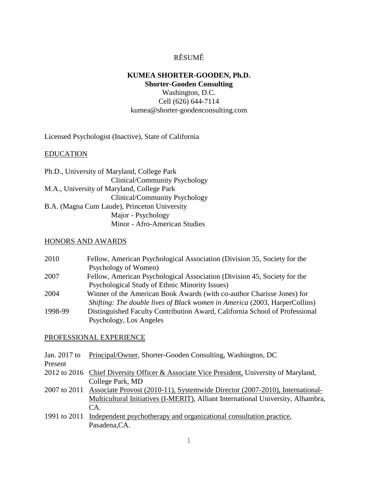# RÉSUMÉ

# **KUMEA SHORTER-GOODEN, Ph.D. Shorter-Gooden Consulting**

Washington, D.C. Cell (626) 644-7114 kumea@shorter-goodenconsulting.com

Licensed Psychologist (Inactive), State of California

# EDUCATION

| Ph.D., University of Maryland, College Park  |
|----------------------------------------------|
| Clinical/Community Psychology                |
| M.A., University of Maryland, College Park   |
| Clinical/Community Psychology                |
| B.A. (Magna Cum Laude), Princeton University |
| Major - Psychology                           |
| Minor - Afro-American Studies                |

## HONORS AND AWARDS

| 2010    | Fellow, American Psychological Association (Division 35, Society for the    |
|---------|-----------------------------------------------------------------------------|
|         | Psychology of Women)                                                        |
| 2007    | Fellow, American Psychological Association (Division 45, Society for the    |
|         | Psychological Study of Ethnic Minority Issues)                              |
| 2004    | Winner of the American Book Awards (with co-author Charisse Jones) for      |
|         | Shifting: The double lives of Black women in America (2003, HarperCollins)  |
| 1998-99 | Distinguished Faculty Contribution Award, California School of Professional |
|         | Psychology, Los Angeles                                                     |

#### PROFESSIONAL EXPERIENCE

|  | Jan. 2017 to Principal/Owner, Shorter-Gooden Consulting, Washington, DC |  |  |  |  |
|--|-------------------------------------------------------------------------|--|--|--|--|
|--|-------------------------------------------------------------------------|--|--|--|--|

Present

- 2012 to 2016 Chief Diversity Officer & Associate Vice President, University of Maryland, College Park, MD
- 2007 to 2011 Associate Provost (2010-11), Systemwide Director (2007-2010), International- Multicultural Initiatives (I-MERIT), Alliant International University, Alhambra, CA.
- 1991 to 2011 Independent psychotherapy and organizational consultation practice, Pasadena,CA.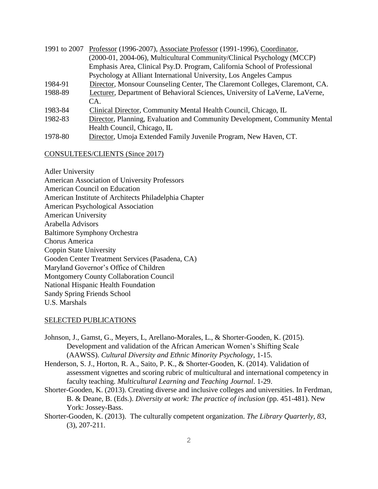|         | 1991 to 2007 Professor (1996-2007), Associate Professor (1991-1996), Coordinator, |
|---------|-----------------------------------------------------------------------------------|
|         | (2000-01, 2004-06), Multicultural Community/Clinical Psychology (MCCP)            |
|         | Emphasis Area, Clinical Psy.D. Program, California School of Professional         |
|         | Psychology at Alliant International University, Los Angeles Campus                |
| 1984-91 | Director, Monsour Counseling Center, The Claremont Colleges, Claremont, CA.       |
| 1988-89 | Lecturer, Department of Behavioral Sciences, University of LaVerne, LaVerne,      |
|         | CA.                                                                               |
| 1983-84 | Clinical Director, Community Mental Health Council, Chicago, IL                   |
| 1982-83 | Director, Planning, Evaluation and Community Development, Community Mental        |
|         | Health Council, Chicago, IL                                                       |

1978-80 Director, Umoja Extended Family Juvenile Program, New Haven, CT.

## CONSULTEES/CLIENTS (Since 2017)

Adler University American Association of University Professors American Council on Education American Institute of Architects Philadelphia Chapter American Psychological Association American University Arabella Advisors Baltimore Symphony Orchestra Chorus America Coppin State University Gooden Center Treatment Services (Pasadena, CA) Maryland Governor's Office of Children Montgomery County Collaboration Council National Hispanic Health Foundation Sandy Spring Friends School U.S. Marshals

## SELECTED PUBLICATIONS

- Johnson, J., Gamst, G., Meyers, L, Arellano-Morales, L., & Shorter-Gooden, K. (2015). Development and validation of the African American Women's Shifting Scale (AAWSS). *Cultural Diversity and Ethnic Minority Psychology*, 1-15.
- Henderson, S. J., Horton, R. A., Saito, P. K., & Shorter-Gooden, K. (2014). Validation of assessment vignettes and scoring rubric of multicultural and international competency in faculty teaching. *Multicultural Learning and Teaching Journal*. 1-29.
- Shorter-Gooden, K. (2013). Creating diverse and inclusive colleges and universities. In Ferdman, B. & Deane, B. (Eds.). *Diversity at work: The practice of inclusion* (pp. 451-481). New York: Jossey-Bass.
- Shorter-Gooden, K. (2013). The culturally competent organization. *The Library Quarterly, 83*, (3), 207-211.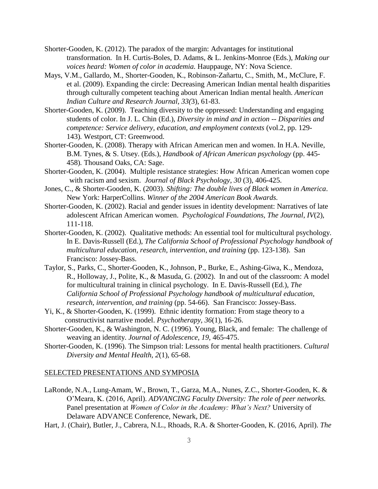- Shorter-Gooden, K. (2012). The paradox of the margin: Advantages for institutional transformation. In H. Curtis-Boles, D. Adams, & L. Jenkins-Monroe (Eds.), *Making our voices heard: Women of color in academia.* Hauppauge, NY: Nova Science.
- Mays, V.M., Gallardo, M., Shorter-Gooden, K., Robinson-Zañartu, C., Smith, M., McClure, F. et al. (2009). Expanding the circle: Decreasing American Indian mental health disparities through culturally competent teaching about American Indian mental health. *American Indian Culture and Research Journal, 33(*3), 61-83.
- Shorter-Gooden, K. (2009). Teaching diversity to the oppressed: Understanding and engaging students of color. In J. L. Chin (Ed.), *Diversity in mind and in action -- Disparities and competence: Service delivery, education, and employment contexts (vol.2, pp. 129-*143)*.* Westport, CT: Greenwood.
- Shorter-Gooden, K. (2008). Therapy with African American men and women. In H.A. Neville, B.M. Tynes, & S. Utsey. (Eds.), *Handbook of African American psychology* (pp. 445- 458)*.* Thousand Oaks, CA: Sage.
- Shorter-Gooden, K. (2004). Multiple resistance strategies: How African American women cope with racism and sexism. *Journal of Black Psychology*, *30* (3), 406-425.
- Jones, C., & Shorter-Gooden, K. (2003). *Shifting: The double lives of Black women in America*. New York: HarperCollins. *Winner of the 2004 American Book Awards.*
- Shorter-Gooden, K. (2002). Racial and gender issues in identity development: Narratives of late adolescent African American women. *Psychological Foundations, The Journal*, *IV*(2), 111-118.
- Shorter-Gooden, K. (2002). Qualitative methods: An essential tool for multicultural psychology. In E. Davis-Russell (Ed.), *The California School of Professional Psychology handbook of multicultural education, research, intervention, and training (pp. 123-138). San* Francisco: Jossey-Bass.
- Taylor, S., Parks, C., Shorter-Gooden, K., Johnson, P., Burke, E., Ashing-Giwa, K., Mendoza, R., Holloway, J., Polite, K., & Masuda, G. (2002). In and out of the classroom: A model for multicultural training in clinical psychology. In E. Davis-Russell (Ed.), *The California School of Professional Psychology handbook of multicultural education, research, intervention, and training* (pp. 54-66). San Francisco: Jossey-Bass.
- Yi, K., & Shorter-Gooden, K. (1999). Ethnic identity formation: From stage theory to a constructivist narrative model. *Psychotherapy, 36*(1), 16-26.
- Shorter-Gooden, K., & Washington, N. C. (1996). Young, Black, and female: The challenge of weaving an identity. *Journal of Adolescence, 19*, 465-475.
- Shorter-Gooden, K. (1996). The Simpson trial: Lessons for mental health practitioners. *Cultural Diversity and Mental Health, 2*(1), 65-68.

#### SELECTED PRESENTATIONS AND SYMPOSIA

- LaRonde, N.A., Lung-Amam, W., Brown, T., Garza, M.A., Nunes, Z.C., Shorter-Gooden, K. & O'Meara, K. (2016, April). *ADVANCING Faculty Diversity: The role of peer networks.*  Panel presentation at *Women of Color in the Academy: What's Next?* University of Delaware ADVANCE Conference, Newark, DE.
- Hart, J. (Chair), Butler, J., Cabrera, N.L., Rhoads, R.A. & Shorter-Gooden, K. (2016, April). *The*